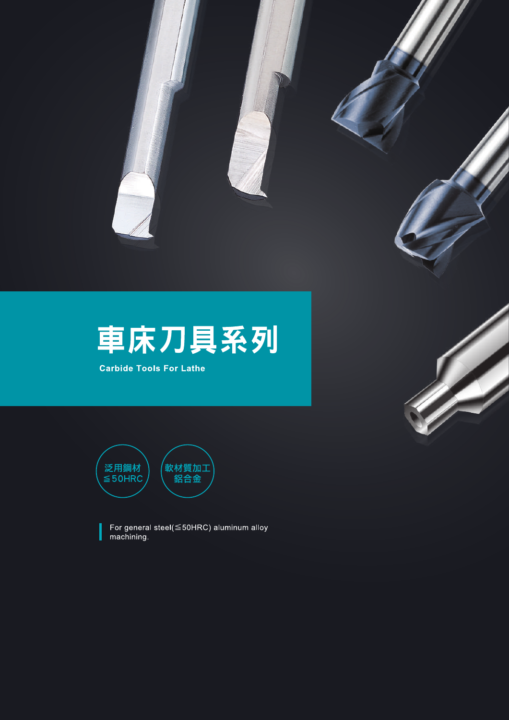

**Carbide Tools For Lathe** 





For general steel(≦50HRC) aluminum alloy<br>machining.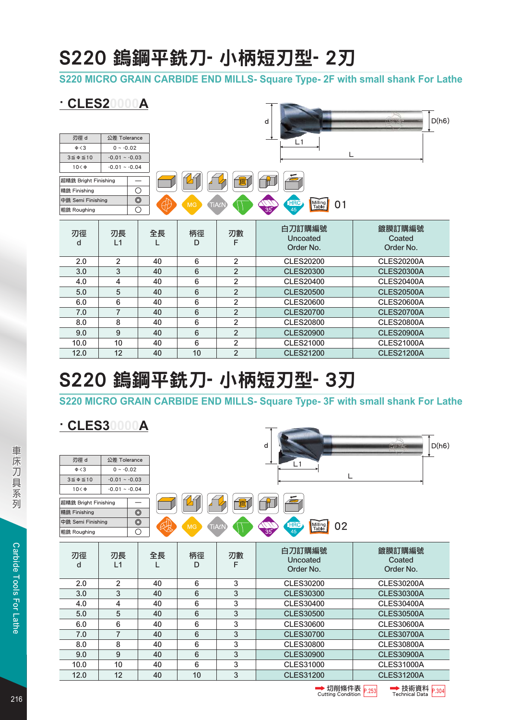## S220 鎢鋼平銑刀- 小柄短刃型- 2刃

**S220 MICRO GRAIN CARBIDE END MILLS- Square Type- 2F with small shank For Lathe**

**PARTICIPATION** 

### **· CLES20000A**

|                      |                |                |                 |                | d                                    | D(h6)<br><b>TEMPORATES</b>    |
|----------------------|----------------|----------------|-----------------|----------------|--------------------------------------|-------------------------------|
| 刃徑 d                 | 公差 Tolerance   |                |                 |                | L1                                   |                               |
| $\Phi < 3$           | $0 \sim -0.02$ |                |                 |                |                                      |                               |
| $3 \le \phi \le 10$  | $-0.01 - 0.03$ |                |                 |                | L                                    |                               |
| $10<\Phi$            | $-0.01 - 0.04$ |                |                 |                |                                      |                               |
| 超精銑 Bright Finishing |                |                |                 |                |                                      |                               |
| 精銑 Finishing         |                | $\circ$        |                 |                |                                      |                               |
| 中銑 Semi Finishing    |                | $\circledcirc$ | <b>MG</b>       | TiALN          | <b>HRC</b><br>Milling<br>Table<br>01 |                               |
| 粗銑 Roughing          |                | О              |                 |                | <b>eb</b><br>45                      |                               |
| 刃徑<br>d              | 刃長<br>L1       | 全長             | 柄徑<br>D         | 刃數<br>F        | 白刀訂購編號<br>Uncoated<br>Order No.      | 鍍膜訂購編號<br>Coated<br>Order No. |
| 2.0                  | 2              | 40             | 6               | $\overline{2}$ | <b>CLES20200</b>                     | <b>CLES20200A</b>             |
| 3.0                  | 3              | 40             | $6\phantom{1}$  | $\overline{2}$ | <b>CLES20300</b>                     | <b>CLES20300A</b>             |
| 4.0                  | 4              | 40             | 6               | $\overline{2}$ | <b>CLES20400</b>                     | <b>CLES20400A</b>             |
| 5.0                  | 5              | 40             | $6\phantom{1}$  | $\overline{2}$ | <b>CLES20500</b>                     | <b>CLES20500A</b>             |
| 6.0                  | 6              | 40             | 6               | $\overline{2}$ | <b>CLES20600</b>                     | <b>CLES20600A</b>             |
| 7.0                  | $\overline{7}$ | 40             | $6\phantom{1}$  | $\overline{2}$ | <b>CLES20700</b>                     | <b>CLES20700A</b>             |
| 8.0                  | 8              | 40             | 6               | $\mathbf 2$    | <b>CLES20800</b>                     | <b>CLES20800A</b>             |
| 9.0                  | 9              | 40             | $6\phantom{1}6$ | $\mathbf 2$    | <b>CLES20900</b>                     | <b>CLES20900A</b>             |
| 10.0                 | 10             | 40             | $\,6$           | $\overline{2}$ | <b>CLES21000</b>                     | <b>CLES21000A</b>             |
| 12.0                 | 12             | 40             | 10              | $\overline{2}$ | <b>CLES21200</b>                     | <b>CLES21200A</b>             |

# S220 鎢鋼平銑刀- 小柄短刃型- 3刃

**S220 MICRO GRAIN CARBIDE END MILLS- Square Type- 3F with small shank For Lathe**

**· CLES30000A**

|                      |                |                |           |         | d                                    | D(h6)<br><b>TO XBILLE</b>     |
|----------------------|----------------|----------------|-----------|---------|--------------------------------------|-------------------------------|
| 刃徑 d                 | 公差 Tolerance   |                |           |         | Ĺ1                                   |                               |
| $\Phi < 3$           | $0 \sim -0.02$ |                |           |         |                                      |                               |
| $3 \le \phi \le 10$  | $-0.01 - 0.03$ |                |           |         | L                                    |                               |
| $10<\Phi$            | $-0.01 - 0.04$ |                |           |         |                                      |                               |
| 超精銑 Bright Finishing |                |                |           |         |                                      |                               |
| 精銑 Finishing         |                | $\circledcirc$ |           |         |                                      |                               |
| 中銑 Semi Finishing    |                | $\circledcirc$ | <b>MG</b> | TiALN   | Milling<br>Table<br><b>HRC</b><br>02 |                               |
| 粗銑 Roughing          |                | О              |           |         | $35^\circ$<br>45                     |                               |
| 刃徑<br>d              | 刃長<br>L1       | 全長             | 柄徑<br>D   | 刃數<br>F | 白刀訂購編號<br>Uncoated<br>Order No.      | 鍍膜訂購編號<br>Coated<br>Order No. |
| 2.0                  | 2              | 40             | 6         | 3       | <b>CLES30200</b>                     | <b>CLES30200A</b>             |
| 3.0                  | 3              | 40             | 6         | 3       | <b>CLES30300</b>                     | <b>CLES30300A</b>             |
| 4.0                  | 4              | 40             | 6         | 3       | <b>CLES30400</b>                     | <b>CLES30400A</b>             |
| 5.0                  | 5              | 40             | 6         | 3       | <b>CLES30500</b>                     | <b>CLES30500A</b>             |
| 6.0                  | 6              | 40             | 6         | 3       | <b>CLES30600</b>                     | <b>CLES30600A</b>             |
| 7.0                  | $\overline{7}$ | 40             | 6         | 3       | <b>CLES30700</b>                     | <b>CLES30700A</b>             |
| 8.0                  | 8              | 40             | 6         | 3       | <b>CLES30800</b>                     | <b>CLES30800A</b>             |
| 9.0                  | 9              | 40             | 6         | 3       | <b>CLES30900</b>                     | <b>CLES30900A</b>             |
| 10.0                 | 10             | 40             | 6         | 3       | <b>CLES31000</b>                     | <b>CLES31000A</b>             |
| 12.0                 | 12             | 40             | 10        | 3       | <b>CLES31200</b>                     | <b>CLES31200A</b>             |



 $\overline{\mathcal{L}}$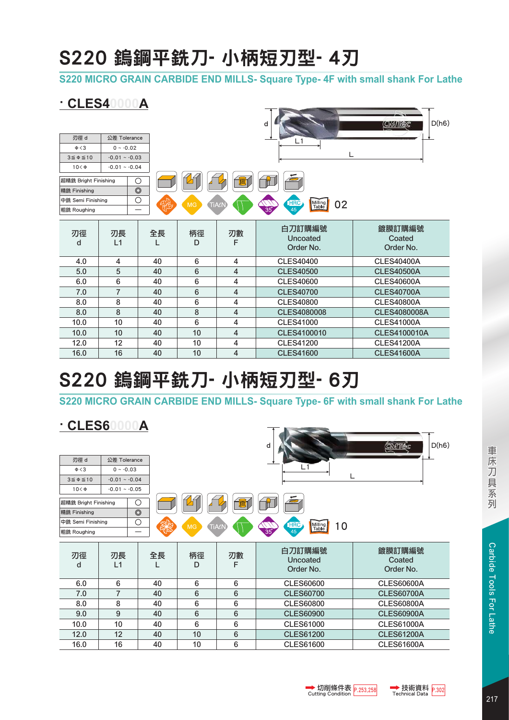## S220 鎢鋼平銑刀- 小柄短刃型- 4刃

**S220 MICRO GRAIN CARBIDE END MILLS- Square Type- 4F with small shank For Lathe**

T NOTE

### **· CLES40000A**

| 刃徑 d<br>$\Phi < 3$<br>$3 \le \phi \le 10$<br>$10<\Phi$ | 公差 Tolerance<br>$0 \sim -0.02$<br>$-0.01 - 0.03$<br>$-0.01 - 0.04$ |                |           |         | d<br>L1                              | D(h6)<br><u>Cimilec</u>       |
|--------------------------------------------------------|--------------------------------------------------------------------|----------------|-----------|---------|--------------------------------------|-------------------------------|
| 超精銑 Bright Finishing                                   |                                                                    | $\circ$        |           | 眞       |                                      |                               |
| 精銑 Finishing                                           |                                                                    | $\circledcirc$ |           |         |                                      |                               |
| 中銑 Semi Finishing                                      |                                                                    | О<br>我         | <b>MG</b> | TiALN   | Milling<br>Table<br><b>HRC</b><br>02 |                               |
| 粗銑 Roughing                                            |                                                                    |                |           |         | $\frac{1}{35}$<br>45                 |                               |
| 刃徑<br>d                                                | 刃長<br>L1                                                           | 全長             | 柄徑<br>D   | 刃數<br>F | 白刀訂購編號<br>Uncoated<br>Order No.      | 鍍膜訂購編號<br>Coated<br>Order No. |
| 4.0                                                    | 4                                                                  | 40             | 6         | 4       | <b>CLES40400</b>                     | <b>CLES40400A</b>             |
| 5.0                                                    | 5                                                                  | 40             | 6         | 4       | <b>CLES40500</b>                     | <b>CLES40500A</b>             |
| 6.0                                                    | 6                                                                  | 40             | 6         | 4       | <b>CLES40600</b>                     | <b>CLES40600A</b>             |
| 7.0                                                    | 7                                                                  | 40             | 6         | 4       | <b>CLES40700</b>                     | <b>CLES40700A</b>             |
| 8.0                                                    | 8                                                                  | 40             | 6         | 4       | <b>CLES40800</b>                     | <b>CLES40800A</b>             |
| 8.0                                                    | 8                                                                  | 40             | 8         | 4       | <b>CLES4080008</b>                   | <b>CLES4080008A</b>           |
| 10.0                                                   | 10                                                                 | 40             | 6         | 4       | <b>CLES41000</b>                     | <b>CLES41000A</b>             |
| 10.0                                                   | 10                                                                 | 40             | 10        | 4       | CLES4100010                          | <b>CLES4100010A</b>           |
| 12.0                                                   | 12                                                                 | 40             | 10        | 4       | <b>CLES41200</b>                     | <b>CLES41200A</b>             |
| 16.0                                                   | 16                                                                 | 40             | 10        | 4       | <b>CLES41600</b>                     | <b>CLES41600A</b>             |

# S220 鎢鋼平銑刀- 小柄短刃型- 6刃

**S220 MICRO GRAIN CARBIDE END MILLS- Square Type- 6F with small shank For Lathe**

| <b>CLES6</b>                    |                | Α              |                 |         | d                               | D(h6)<br>CMTEC                |  |  |  |
|---------------------------------|----------------|----------------|-----------------|---------|---------------------------------|-------------------------------|--|--|--|
| 刃徑 d                            | 公差 Tolerance   |                |                 |         |                                 |                               |  |  |  |
| $\Phi < 3$                      | $0 \sim -0.03$ |                |                 |         | L1                              |                               |  |  |  |
| $3 \le \phi \le 10$             | $-0.01 - 0.04$ |                |                 |         |                                 | L                             |  |  |  |
| $10<\Phi$                       | $-0.01 - 0.05$ |                |                 |         |                                 |                               |  |  |  |
| $\circ$<br>超精銑 Bright Finishing |                |                |                 |         |                                 |                               |  |  |  |
| 精銑 Finishing                    |                | $\circledcirc$ |                 |         |                                 |                               |  |  |  |
| 中銑 Semi Finishing               |                | $\circ$        | <b>MG</b>       | TiALN   | HRC<br>45<br>Milling<br>10      |                               |  |  |  |
| 粗銑 Roughing                     |                |                |                 |         | 35 <sup>o</sup>                 |                               |  |  |  |
| 刃徑<br>d                         | 刃長<br>L1       | 全長             | 柄徑<br>D         | 刃數<br>F | 白刀訂購編號<br>Uncoated<br>Order No. | 鍍膜訂購編號<br>Coated<br>Order No. |  |  |  |
| 6.0                             | 6              | 40             | 6               | 6       | <b>CLES60600</b>                | <b>CLES60600A</b>             |  |  |  |
| 7.0                             | $\overline{7}$ | 40             | $6\phantom{1}6$ | 6       | <b>CLES60700</b>                | <b>CLES60700A</b>             |  |  |  |
| 8.0                             | 8              | 40             | 6               | 6       | <b>CLES60800</b>                | <b>CLES60800A</b>             |  |  |  |
| 9.0                             | 9              | 40             | 6               | 6       | <b>CLES60900</b>                | <b>CLES60900A</b>             |  |  |  |
| 10.0                            | 10             | 40             | 6               | 6       | <b>CLES61000</b>                | <b>CLES61000A</b>             |  |  |  |
| 12.0                            | 12             | 40             | 10              | 6       | <b>CLES61200</b>                | <b>CLES61200A</b>             |  |  |  |
| 16.0                            | 16             | 40             | 10              | 6       | <b>CLES61600</b>                | <b>CLES61600A</b>             |  |  |  |



217



 $\overline{\phantom{a}}$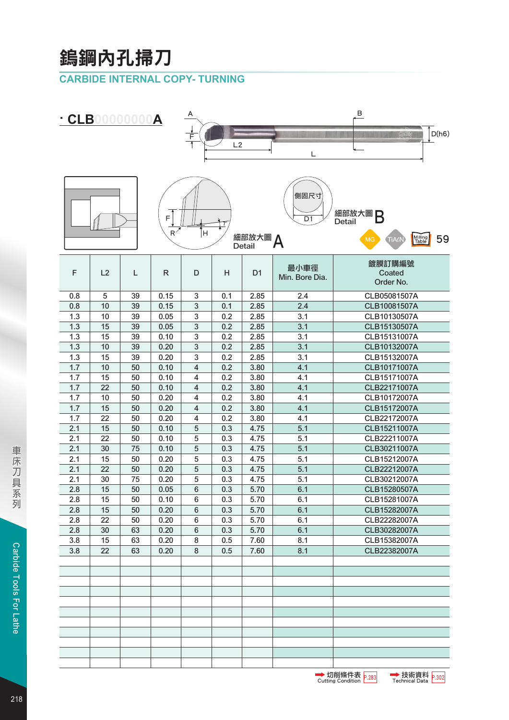# 鎢鋼內孔掃刀

### **CARBIDE INTERNAL COPY- TURNING**

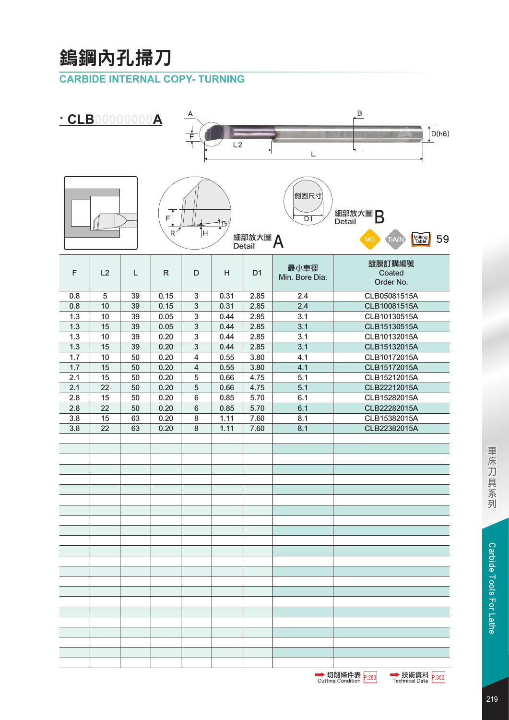# 鎢鋼內孔掃刀

### **CARBIDE INTERNAL COPY- TURNING**



219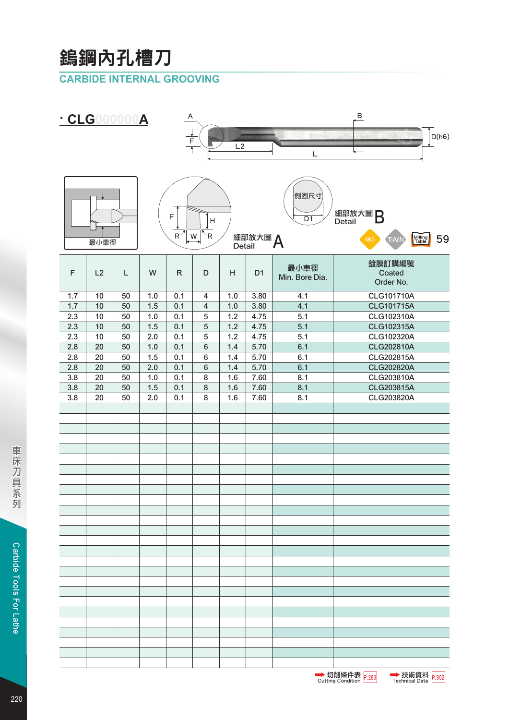# 鎢鋼內孔槽刀

### **CARBIDE INTERNAL GROOVING**

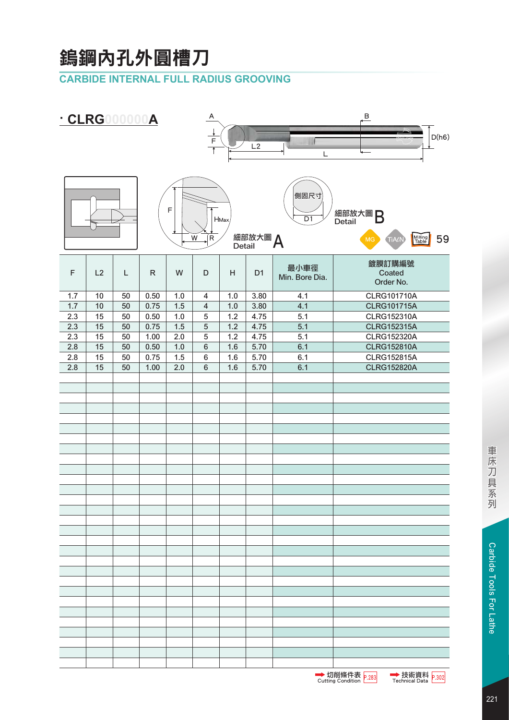## 鎢鋼內孔外圓槽刀

### **CARBIDE INTERNAL FULL RADIUS GROOVING**

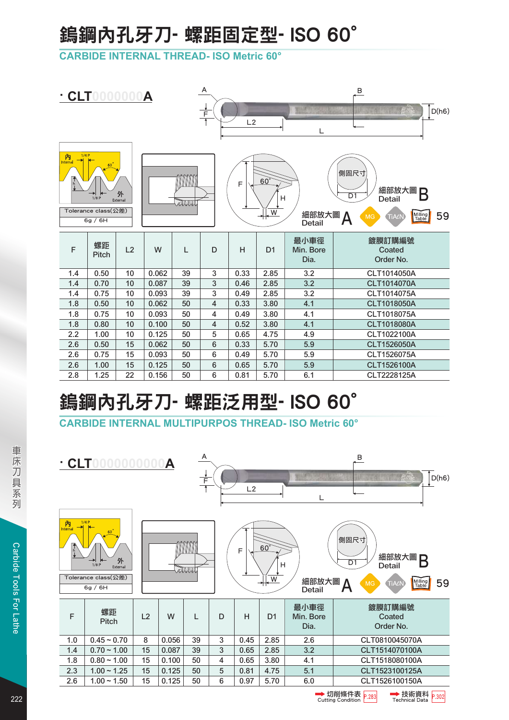# 鎢鋼內孔牙刀- 螺距固定型- ISO 60°

**CARBIDE INTERNAL THREAD- ISO Metric 60°**

|                                                                                                                                                                                                                                                                                                                                                            | $\cdot$ CLT0000000A |    |       |    | A<br>$\frac{1}{\mathsf{F}}$ | L2   |                | 3337<br>L                 | $\overline{B}$<br>D(h6)<br>$\frac{1}{2}$ |
|------------------------------------------------------------------------------------------------------------------------------------------------------------------------------------------------------------------------------------------------------------------------------------------------------------------------------------------------------------|---------------------|----|-------|----|-----------------------------|------|----------------|---------------------------|------------------------------------------|
| 1/4P<br>内<br>Internal<br>$60^{\circ}$<br>側固尺寸<br><u>mmm</u><br>$\begin{array}{c}\n+1 \\ +1\n\end{array}$<br>$60^{\circ}$<br>F<br>細部放大圖<br>Β<br>外<br>$\overline{D1}$<br>Н<br><b>Detail</b><br>1/8P<br>External<br>atuut<br>Tolerance class(公差)<br>$\overline{W}$<br>細部放大圖<br>59<br>Milling<br>Table<br><b>MG</b><br>TiALN<br>>₩<br>6g / 6H<br><b>Detail</b> |                     |    |       |    |                             |      |                |                           |                                          |
| F                                                                                                                                                                                                                                                                                                                                                          | 螺距<br>Pitch         | L2 | W     | L  | D                           | H    | D <sub>1</sub> | 最小車徑<br>Min. Bore<br>Dia. | 鍍膜訂購編號<br>Coated<br>Order No.            |
| 1.4                                                                                                                                                                                                                                                                                                                                                        | 0.50                | 10 | 0.062 | 39 | 3                           | 0.33 | 2.85           | 3.2                       | CLT1014050A                              |
| 1.4                                                                                                                                                                                                                                                                                                                                                        | 0.70                | 10 | 0.087 | 39 | $\sqrt{3}$                  | 0.46 | 2.85           | 3.2                       | CLT1014070A                              |
| 1.4                                                                                                                                                                                                                                                                                                                                                        | 0.75                | 10 | 0.093 | 39 | 3                           | 0.49 | 2.85           | 3.2                       | CLT1014075A                              |
| 1.8                                                                                                                                                                                                                                                                                                                                                        | 0.50                | 10 | 0.062 | 50 | 4                           | 0.33 | 3.80           | 4.1                       | CLT1018050A                              |
| 1.8                                                                                                                                                                                                                                                                                                                                                        | 0.75                | 10 | 0.093 | 50 | 4                           | 0.49 | 3.80           | 4.1                       | CLT1018075A                              |
| 1.8                                                                                                                                                                                                                                                                                                                                                        | 0.80                | 10 | 0.100 | 50 | 4                           | 0.52 | 3.80           | 4.1                       | CLT1018080A                              |
| 2.2                                                                                                                                                                                                                                                                                                                                                        | 1.00                | 10 | 0.125 | 50 | 5                           | 0.65 | 4.75           | 4.9                       | CLT1022100A                              |
| 2.6                                                                                                                                                                                                                                                                                                                                                        | 0.50                | 15 | 0.062 | 50 | 6                           | 0.33 | 5.70           | 5.9                       | CLT1526050A                              |
| 2.6                                                                                                                                                                                                                                                                                                                                                        | 0.75                | 15 | 0.093 | 50 | 6                           | 0.49 | 5.70           | 5.9                       | CLT1526075A                              |
| 2.6                                                                                                                                                                                                                                                                                                                                                        | 1.00                | 15 | 0.125 | 50 | $\,6$                       | 0.65 | 5.70           | 5.9                       | CLT1526100A                              |
| 2.8                                                                                                                                                                                                                                                                                                                                                        | 1.25                | 22 | 0.156 | 50 | 6                           | 0.81 | 5.70           | 6.1                       | CLT2228125A                              |

# 鎢鋼內孔牙刀- 螺距泛用型- ISO 60°

**CARBIDE INTERNAL MULTIPURPOS THREAD- ISO Metric 60°**

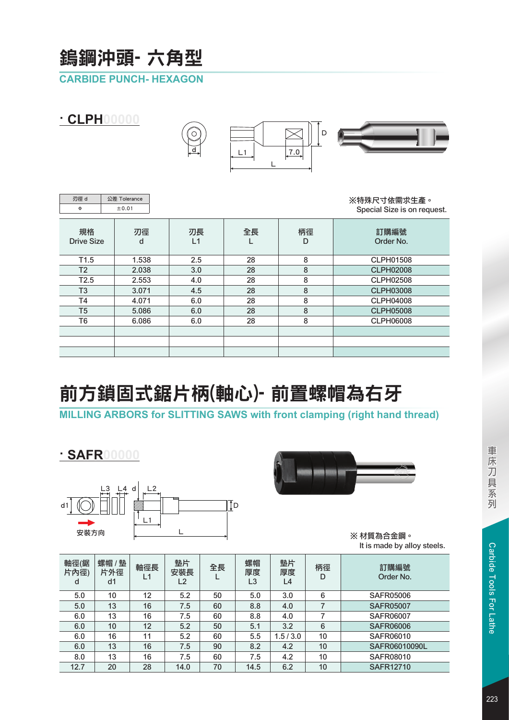## 鎢鋼沖頭- 六角型

### **CARBIDE PUNCH- HEXAGON**

| · CLPH<br>00000 |                         |                       | O<br><u>, d , </u> | L1      | D<br>7.0 |                                            |
|-----------------|-------------------------|-----------------------|--------------------|---------|----------|--------------------------------------------|
|                 | 刃徑 d<br>Φ               | 公差 Tolerance<br>±0.01 |                    |         |          | ※特殊尺寸依需求生產。<br>Special Size is on request. |
|                 | 規格<br><b>Drive Size</b> | 刃徑<br>d               | 刃長<br>L1           | 全長<br>L | 柄徑<br>D  | 訂購編號<br>Order No.                          |
|                 | T <sub>1.5</sub>        | 1.538                 | 2.5                | 28      | 8        | <b>CLPH01508</b>                           |
|                 | T <sub>2</sub>          | 2.038                 | 3.0                | 28      | 8        | <b>CLPH02008</b>                           |
| T2.5            |                         | 2.553                 | 4.0                | 28      | 8        | <b>CLPH02508</b>                           |
| T <sub>3</sub>  |                         | 3.071                 | 4.5                | 28      | 8        | <b>CLPH03008</b>                           |
|                 | T4                      | 4.071                 | 6.0                | 28      | 8        | <b>CLPH04008</b>                           |
|                 | T <sub>5</sub>          | 5.086                 | 6.0                | 28      | 8        | <b>CLPH05008</b>                           |

# 前方鎖固式鋸片柄(軸心)- 前置螺帽為右牙

T5 5.086 6.0 28 8 T6 6.086 6.0 28 8

### **MILLING ARBORS for SLITTING SAWS with front clamping (right hand thread)**

### **· SAFR00000**





※ 材質為合金鋼。 It is made by alloy steels.

CLPH06008

| 軸徑(鋸<br>片内徑)<br>d | 螺帽/墊<br>片外徑<br>d <sub>1</sub> | 軸徑長<br>L1 | 墊片<br>安裝長<br>L2 | 全長 | 螺帽<br>厚度<br>L3 | 墊片<br>厚度<br>L4 | 柄徑<br>D | 訂購編號<br>Order No. |
|-------------------|-------------------------------|-----------|-----------------|----|----------------|----------------|---------|-------------------|
| 5.0               | 10                            | 12        | 5.2             | 50 | 5.0            | 3.0            | 6       | <b>SAFR05006</b>  |
| 5.0               | 13                            | 16        | 7.5             | 60 | 8.8            | 4.0            |         | <b>SAFR05007</b>  |
| 6.0               | 13                            | 16        | 7.5             | 60 | 8.8            | 4.0            |         | <b>SAFR06007</b>  |
| 6.0               | 10                            | 12        | 5.2             | 50 | 5.1            | 3.2            | 6       | <b>SAFR06006</b>  |
| 6.0               | 16                            | 11        | 5.2             | 60 | 5.5            | 1.5/3.0        | 10      | SAFR06010         |
| 6.0               | 13                            | 16        | 7.5             | 90 | 8.2            | 4.2            | 10      | SAFR06010090L     |
| 8.0               | 13                            | 16        | 7.5             | 60 | 7.5            | 4.2            | 10      | <b>SAFR08010</b>  |
| 12.7              | 20                            | 28        | 14.0            | 70 | 14.5           | 6.2            | 10      | <b>SAFR12710</b>  |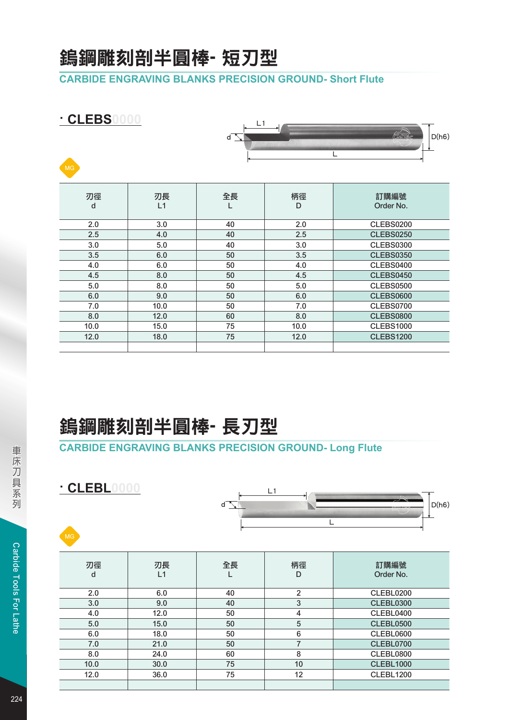### 鎢鋼雕刻剖半圓棒- 短刃型

#### **CARBIDE ENGRAVING BLANKS PRECISION GROUND- Short Flute**

| · CLEBS0000<br>MG |          | L1<br>d |         | <i>(civita</i> )<br>D(h6) |
|-------------------|----------|---------|---------|---------------------------|
| 刃徑<br>d           | 刃長<br>L1 | 全長      | 柄徑<br>D | 訂購編號<br>Order No.         |
| 2.0               | 3.0      | 40      | 2.0     | <b>CLEBS0200</b>          |
| 2.5               | 4.0      | 40      | 2.5     | <b>CLEBS0250</b>          |
| 3.0               | 5.0      | 40      | 3.0     | <b>CLEBS0300</b>          |
| 3.5               | 6.0      | 50      | 3.5     | <b>CLEBS0350</b>          |
| 4.0               | 6.0      | 50      | 4.0     | <b>CLEBS0400</b>          |
| 4.5               | 8.0      | 50      | 4.5     | <b>CLEBS0450</b>          |
| 5.0               | 8.0      | 50      | 5.0     | <b>CLEBS0500</b>          |
| 6.0               | 9.0      | 50      | 6.0     | <b>CLEBS0600</b>          |
| 7.0               | 10.0     | 50      | 7.0     | <b>CLEBS0700</b>          |
| 8.0               | 12.0     | 60      | 8.0     | <b>CLEBS0800</b>          |
| 10.0              | 15.0     | 75      | 10.0    | <b>CLEBS1000</b>          |
| 12.0              | 18.0     | 75      | 12.0    | <b>CLEBS1200</b>          |
|                   |          |         |         |                           |

## 鎢鋼雕刻剖半圓棒- 長刃型

### **CARBIDE ENGRAVING BLANKS PRECISION GROUND- Long Flute**

**· CLEBL0000**



| 刃徑<br>d | 刃長<br>L1 | 全長 | 柄徑<br>D        | 訂購編號<br>Order No. |
|---------|----------|----|----------------|-------------------|
| 2.0     | 6.0      | 40 | $\overline{2}$ | CLEBL0200         |
| 3.0     | 9.0      | 40 | 3              | <b>CLEBL0300</b>  |
| 4.0     | 12.0     | 50 | 4              | CLEBL0400         |
| 5.0     | 15.0     | 50 | 5              | CLEBL0500         |
| 6.0     | 18.0     | 50 | 6              | <b>CLEBL0600</b>  |
| 7.0     | 21.0     | 50 | 7              | CLEBL0700         |
| 8.0     | 24.0     | 60 | 8              | CLEBL0800         |
| 10.0    | 30.0     | 75 | 10             | <b>CLEBL1000</b>  |
| 12.0    | 36.0     | 75 | 12             | <b>CLEBL1200</b>  |
|         |          |    |                |                   |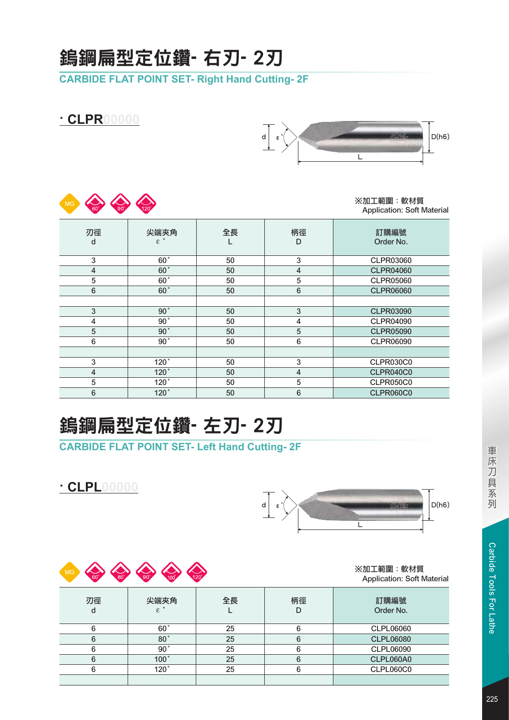## 鎢鋼扁型定位鑽- 右刃- 2刃

**CARBIDE FLAT POINT SET- Right Hand Cutting- 2F**

※加工範圍:軟材質 Application: Soft Material

L

 $\varepsilon$ <sup>°</sup>  $\searrow$   $\qquad \qquad$   $\qquad$   $\qquad$   $\qquad$   $\qquad$   $\qquad$   $\qquad$   $\qquad$   $\qquad$   $\qquad$   $\qquad$   $\qquad$   $\qquad$   $\qquad$   $\qquad$   $\qquad$   $\qquad$   $\qquad$   $\qquad$   $\qquad$   $\qquad$   $\qquad$   $\qquad$   $\qquad$   $\qquad$   $\qquad$   $\qquad$   $\qquad$   $\qquad$   $\qquad$   $\qquad$   $\qquad$   $\qquad$   $\qquad$ 

|                |                                 |    |                         | Application. Jolt Material |
|----------------|---------------------------------|----|-------------------------|----------------------------|
| 刃徑<br>d        | 尖端夾角<br>$\varepsilon$ $\degree$ | 全長 | 柄徑<br>D                 | 訂購編號<br>Order No.          |
| 3              | $60^\circ$                      | 50 | 3                       | <b>CLPR03060</b>           |
| $\overline{4}$ | $60^\circ$                      | 50 | $\overline{\mathbf{4}}$ | <b>CLPR04060</b>           |
| 5              | 60 <sup>°</sup>                 | 50 | 5                       | <b>CLPR05060</b>           |
| $\,6\,$        | 60 <sup>°</sup>                 | 50 | $\,6\,$                 | <b>CLPR06060</b>           |
|                |                                 |    |                         |                            |
| 3              | 90 <sup>°</sup>                 | 50 | 3                       | <b>CLPR03090</b>           |
| 4              | 90 <sup>°</sup>                 | 50 | 4                       | <b>CLPR04090</b>           |
| 5              | 90 <sup>°</sup>                 | 50 | $\overline{5}$          | <b>CLPR05090</b>           |
| 6              | 90°                             | 50 | 6                       | <b>CLPR06090</b>           |
|                |                                 |    |                         |                            |
| 3              | 120°                            | 50 | $\sqrt{3}$              | <b>CLPR030C0</b>           |
| $\overline{4}$ | 120°                            | 50 | $\overline{\mathbf{4}}$ | <b>CLPR040C0</b>           |
| 5              | 120°                            | 50 | 5                       | <b>CLPR050C0</b>           |
| 6              | 120°                            | 50 | $\,6\,$                 | <b>CLPR060C0</b>           |

d

# 鎢鋼扁型定位鑽- 左刃- 2刃

**CARBIDE FLAT POINT SET- Left Hand Cutting- 2F**



**· CLPR00000**

MG COLOR COM



| <b>MG</b><br>$60^\circ$ | Construction of the Construction<br>$\begin{array}{c} 120 \end{array}$ |    |         | ※加工範圍:軟材質<br><b>Application: Soft Material</b> |
|-------------------------|------------------------------------------------------------------------|----|---------|------------------------------------------------|
| 刃徑<br>d                 | 尖端夾角<br>$\mathcal{E}$                                                  | 全長 | 柄徑<br>D | 訂購編號<br>Order No.                              |
| 6                       | 60°                                                                    | 25 | 6       | <b>CLPL06060</b>                               |
| 6                       | 80 <sup>°</sup>                                                        | 25 | 6       | <b>CLPL06080</b>                               |
| 6                       | 90°                                                                    | 25 | 6       | <b>CLPL06090</b>                               |
| 6                       | 100°                                                                   | 25 | 6       | CLPL060A0                                      |
| 6                       | 120°                                                                   | 25 | 6       | CLPL060C0                                      |
|                         |                                                                        |    |         |                                                |
|                         |                                                                        |    |         |                                                |